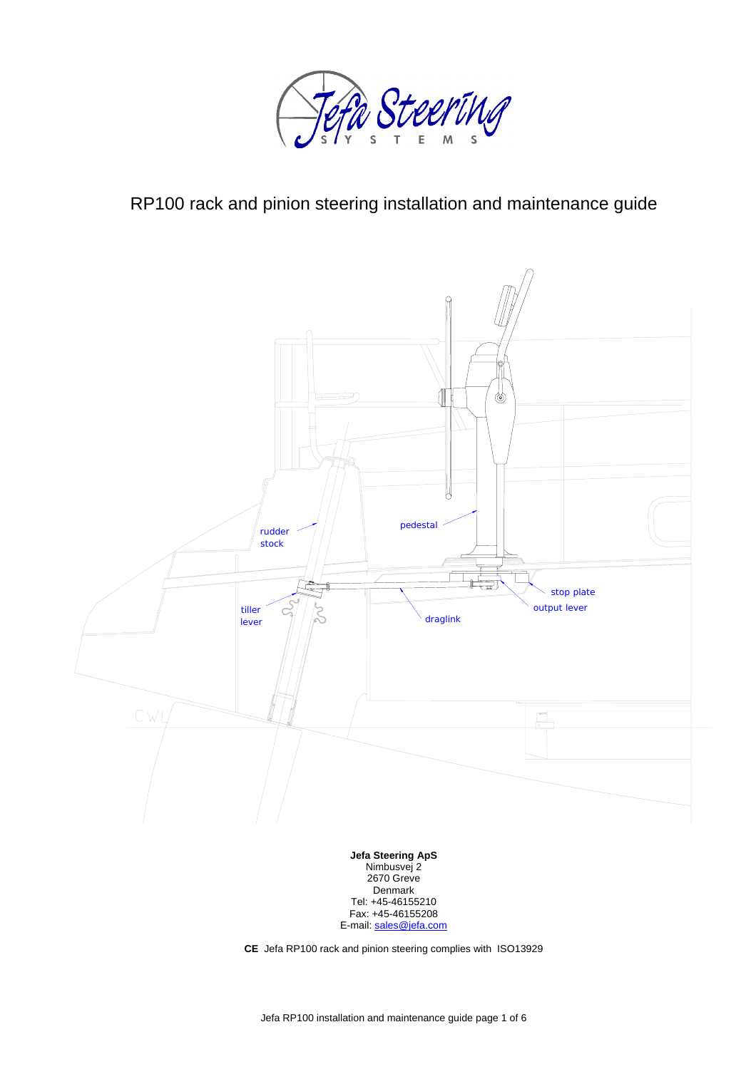

# RP100 rack and pinion steering installation and maintenance guide



Fax: +45-46155208 E-mail: sales@jefa.com

**CE** Jefa RP100 rack and pinion steering complies with ISO13929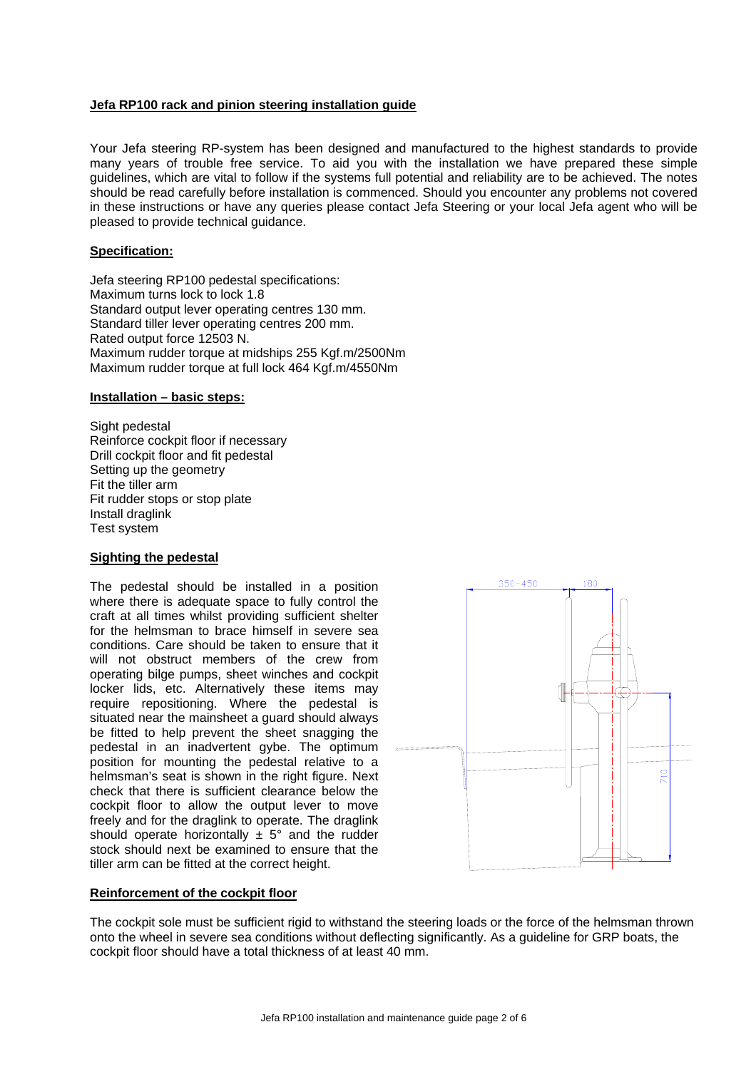### **Jefa RP100 rack and pinion steering installation guide**

Your Jefa steering RP-system has been designed and manufactured to the highest standards to provide many years of trouble free service. To aid you with the installation we have prepared these simple guidelines, which are vital to follow if the systems full potential and reliability are to be achieved. The notes should be read carefully before installation is commenced. Should you encounter any problems not covered in these instructions or have any queries please contact Jefa Steering or your local Jefa agent who will be pleased to provide technical guidance.

#### **Specification:**

Jefa steering RP100 pedestal specifications: Maximum turns lock to lock 1.8 Standard output lever operating centres 130 mm. Standard tiller lever operating centres 200 mm. Rated output force 12503 N. Maximum rudder torque at midships 255 Kgf.m/2500Nm Maximum rudder torque at full lock 464 Kgf.m/4550Nm

#### **Installation – basic steps:**

Sight pedestal Reinforce cockpit floor if necessary Drill cockpit floor and fit pedestal Setting up the geometry Fit the tiller arm Fit rudder stops or stop plate Install draglink Test system

#### **Sighting the pedestal**

The pedestal should be installed in a position where there is adequate space to fully control the craft at all times whilst providing sufficient shelter for the helmsman to brace himself in severe sea conditions. Care should be taken to ensure that it will not obstruct members of the crew from operating bilge pumps, sheet winches and cockpit locker lids, etc. Alternatively these items may require repositioning. Where the pedestal is situated near the mainsheet a guard should always be fitted to help prevent the sheet snagging the pedestal in an inadvertent gybe. The optimum position for mounting the pedestal relative to a helmsman's seat is shown in the right figure. Next check that there is sufficient clearance below the cockpit floor to allow the output lever to move freely and for the draglink to operate. The draglink should operate horizontally  $\pm$  5° and the rudder stock should next be examined to ensure that the tiller arm can be fitted at the correct height.



#### **Reinforcement of the cockpit floor**

The cockpit sole must be sufficient rigid to withstand the steering loads or the force of the helmsman thrown onto the wheel in severe sea conditions without deflecting significantly. As a guideline for GRP boats, the cockpit floor should have a total thickness of at least 40 mm.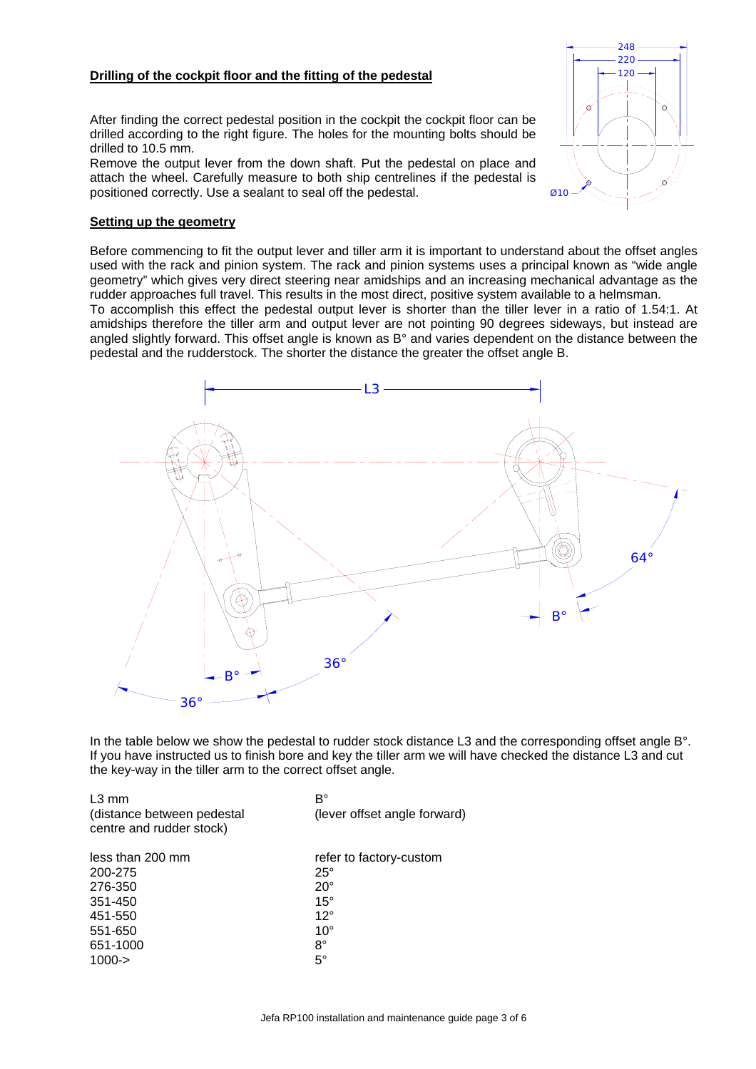# **Drilling of the cockpit floor and the fitting of the pedestal**

After finding the correct pedestal position in the cockpit the cockpit floor can be drilled according to the right figure. The holes for the mounting bolts should be drilled to 10.5 mm.

Remove the output lever from the down shaft. Put the pedestal on place and attach the wheel. Carefully measure to both ship centrelines if the pedestal is positioned correctly. Use a sealant to seal off the pedestal.



Before commencing to fit the output lever and tiller arm it is important to understand about the offset angles used with the rack and pinion system. The rack and pinion systems uses a principal known as "wide angle geometry" which gives very direct steering near amidships and an increasing mechanical advantage as the rudder approaches full travel. This results in the most direct, positive system available to a helmsman.

To accomplish this effect the pedestal output lever is shorter than the tiller lever in a ratio of 1.54:1. At amidships therefore the tiller arm and output lever are not pointing 90 degrees sideways, but instead are angled slightly forward. This offset angle is known as B° and varies dependent on the distance between the pedestal and the rudderstock. The shorter the distance the greater the offset angle B.



In the table below we show the pedestal to rudder stock distance L3 and the corresponding offset angle B°. If you have instructed us to finish bore and key the tiller arm we will have checked the distance L3 and cut the key-way in the tiller arm to the correct offset angle.

| $L3$ mm<br>(distance between pedestal<br>centre and rudder stock) | B°<br>(lever offset angle forward) |
|-------------------------------------------------------------------|------------------------------------|
| less than 200 mm                                                  | refer to factory-custom            |
| 200-275                                                           | $25^\circ$                         |
| 276-350                                                           | $20^{\circ}$                       |
| 351-450                                                           | $15^\circ$                         |
| 451-550                                                           | $12^{\circ}$                       |
| 551-650                                                           | $10^{\circ}$                       |
| 651-1000                                                          | 8°                                 |
| $1000 - >$                                                        | $5^{\circ}$                        |

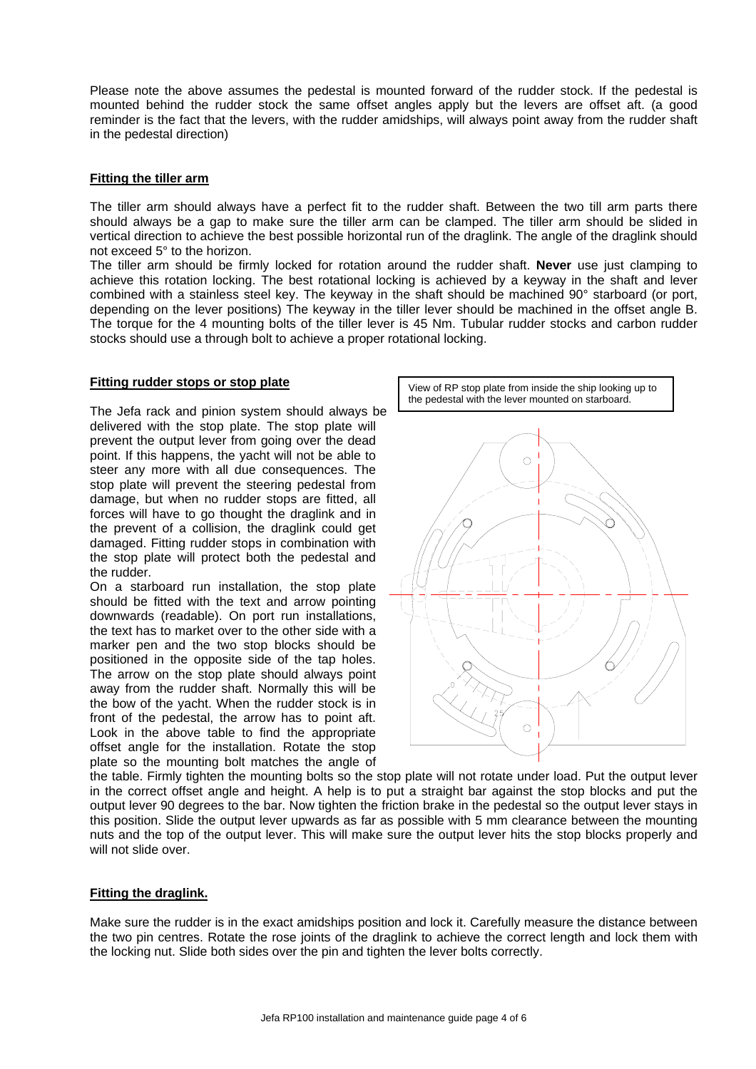Please note the above assumes the pedestal is mounted forward of the rudder stock. If the pedestal is mounted behind the rudder stock the same offset angles apply but the levers are offset aft. (a good reminder is the fact that the levers, with the rudder amidships, will always point away from the rudder shaft in the pedestal direction)

### **Fitting the tiller arm**

The tiller arm should always have a perfect fit to the rudder shaft. Between the two till arm parts there should always be a gap to make sure the tiller arm can be clamped. The tiller arm should be slided in vertical direction to achieve the best possible horizontal run of the draglink. The angle of the draglink should not exceed 5° to the horizon.

The tiller arm should be firmly locked for rotation around the rudder shaft. **Never** use just clamping to achieve this rotation locking. The best rotational locking is achieved by a keyway in the shaft and lever combined with a stainless steel key. The keyway in the shaft should be machined 90° starboard (or port, depending on the lever positions) The keyway in the tiller lever should be machined in the offset angle B. The torque for the 4 mounting bolts of the tiller lever is 45 Nm. Tubular rudder stocks and carbon rudder stocks should use a through bolt to achieve a proper rotational locking.

The Jefa rack and pinion system should always be delivered with the stop plate. The stop plate will prevent the output lever from going over the dead point. If this happens, the yacht will not be able to steer any more with all due consequences. The stop plate will prevent the steering pedestal from damage, but when no rudder stops are fitted, all forces will have to go thought the draglink and in the prevent of a collision, the draglink could get damaged. Fitting rudder stops in combination with the stop plate will protect both the pedestal and the rudder.

On a starboard run installation, the stop plate should be fitted with the text and arrow pointing downwards (readable). On port run installations, the text has to market over to the other side with a marker pen and the two stop blocks should be positioned in the opposite side of the tap holes. The arrow on the stop plate should always point away from the rudder shaft. Normally this will be the bow of the yacht. When the rudder stock is in front of the pedestal, the arrow has to point aft. Look in the above table to find the appropriate offset angle for the installation. Rotate the stop plate so the mounting bolt matches the angle of



the table. Firmly tighten the mounting bolts so the stop plate will not rotate under load. Put the output lever in the correct offset angle and height. A help is to put a straight bar against the stop blocks and put the output lever 90 degrees to the bar. Now tighten the friction brake in the pedestal so the output lever stays in this position. Slide the output lever upwards as far as possible with 5 mm clearance between the mounting nuts and the top of the output lever. This will make sure the output lever hits the stop blocks properly and will not slide over

### **Fitting the draglink.**

Make sure the rudder is in the exact amidships position and lock it. Carefully measure the distance between the two pin centres. Rotate the rose joints of the draglink to achieve the correct length and lock them with the locking nut. Slide both sides over the pin and tighten the lever bolts correctly.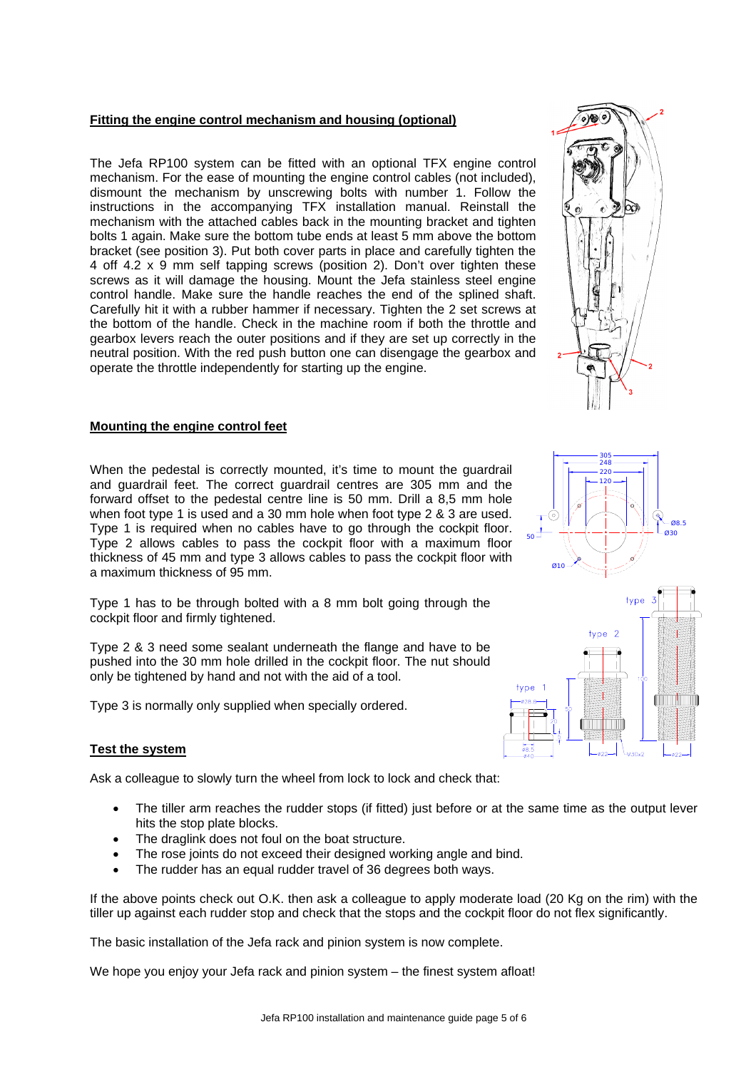# **Fitting the engine control mechanism and housing (optional)**

The Jefa RP100 system can be fitted with an optional TFX engine control mechanism. For the ease of mounting the engine control cables (not included), dismount the mechanism by unscrewing bolts with number 1. Follow the instructions in the accompanying TFX installation manual. Reinstall the mechanism with the attached cables back in the mounting bracket and tighten bolts 1 again. Make sure the bottom tube ends at least 5 mm above the bottom bracket (see position 3). Put both cover parts in place and carefully tighten the 4 off 4.2 x 9 mm self tapping screws (position 2). Don't over tighten these screws as it will damage the housing. Mount the Jefa stainless steel engine control handle. Make sure the handle reaches the end of the splined shaft. Carefully hit it with a rubber hammer if necessary. Tighten the 2 set screws at the bottom of the handle. Check in the machine room if both the throttle and gearbox levers reach the outer positions and if they are set up correctly in the neutral position. With the red push button one can disengage the gearbox and operate the throttle independently for starting up the engine.



When the pedestal is correctly mounted, it's time to mount the guardrail and guardrail feet. The correct guardrail centres are 305 mm and the forward offset to the pedestal centre line is 50 mm. Drill a 8,5 mm hole when foot type 1 is used and a 30 mm hole when foot type 2 & 3 are used. Type 1 is required when no cables have to go through the cockpit floor. Type 2 allows cables to pass the cockpit floor with a maximum floor thickness of 45 mm and type 3 allows cables to pass the cockpit floor with a maximum thickness of 95 mm.

Type 1 has to be through bolted with a 8 mm bolt going through the cockpit floor and firmly tightened.

Type 2 & 3 need some sealant underneath the flange and have to be pushed into the 30 mm hole drilled in the cockpit floor. The nut should only be tightened by hand and not with the aid of a tool.

Type 3 is normally only supplied when specially ordered.

# **Test the system**

Ask a colleague to slowly turn the wheel from lock to lock and check that:

- The tiller arm reaches the rudder stops (if fitted) just before or at the same time as the output lever hits the stop plate blocks.
- The draglink does not foul on the boat structure.
- The rose joints do not exceed their designed working angle and bind.
- The rudder has an equal rudder travel of 36 degrees both ways.

If the above points check out O.K. then ask a colleague to apply moderate load (20 Kg on the rim) with the tiller up against each rudder stop and check that the stops and the cockpit floor do not flex significantly.

The basic installation of the Jefa rack and pinion system is now complete.

We hope you enjoy your Jefa rack and pinion system – the finest system afloat!





120 220 248

305